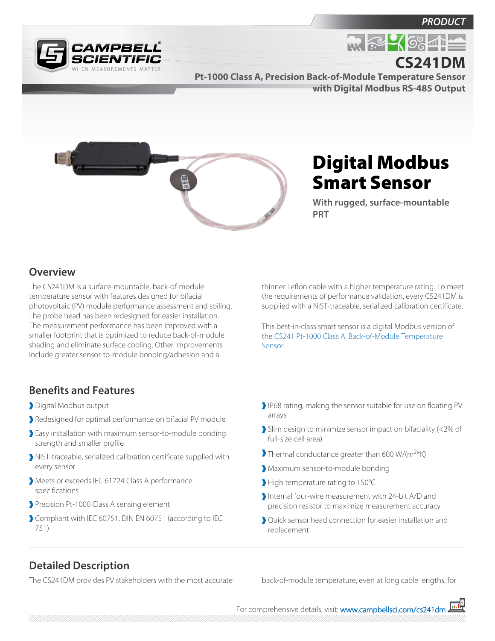



**R. P. 4 6% 4 11 CS241DM**

**Pt-1000 Class A, Precision Back-of-Module Temperature Sensor with Digital Modbus RS-485 Output**



# Digital Modbus Smart Sensor

**With rugged, surface-mountable PRT**

#### **Overview**

The CS241DM is a surface-mountable, back-of-module temperature sensor with features designed for bifacial photovoltaic (PV) module performance assessment and soiling. The probe head has been redesigned for easier installation. The measurement performance has been improved with a smaller footprint that is optimized to reduce back-of-module shading and eliminate surface cooling. Other improvements include greater sensor-to-module bonding/adhesion and a

thinner Teflon cable with a higher temperature rating. To meet the requirements of performance validation, every CS241DM is supplied with a NIST-traceable, serialized calibration certificate.

This best-in-class smart sensor is a digital Modbus version of the [CS241 Pt-1000 Class A, Back-of-Module Temperature](http://www.campbellsci.com/cs241) [Sensor.](http://www.campbellsci.com/cs241)

## **Benefits and Features**

- Digital Modbus output
- Redesigned for optimal performance on bifacial PV module
- Easy installation with maximum sensor-to-module bonding strength and smaller profile
- NIST-traceable, serialized calibration certificate supplied with every sensor
- Meets or exceeds IEC 61724 Class A performance specifications
- Precision Pt-1000 Class A sensing element
- Compliant with IEC 60751, DIN EN 60751 (according to IEC 751)
- IP68 rating, making the sensor suitable for use on floating PV arrays
- Slim design to minimize sensor impact on bifaciality (<2% of full-size cell area)
- Thermal conductance greater than 600 W/(m<sup>2</sup>\*K)
- Maximum sensor-to-module bonding
- High temperature rating to 150°C
- Internal four-wire measurement with 24-bit A/D and precision resistor to maximize measurement accuracy
- Quick sensor head connection for easier installation and replacement

### **Detailed Description**

The CS241DM provides PV stakeholders with the most accurate back-of-module temperature, even at long cable lengths, for

For comprehensive details, visit: [www.campbellsci.com/cs241dm](https://www.campbellsci.com/cs241dm)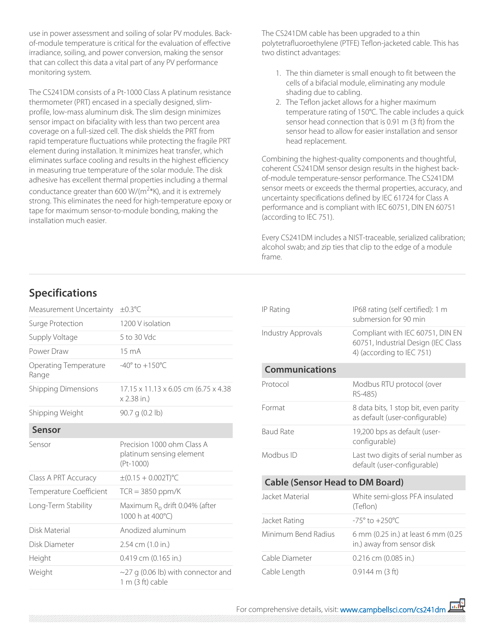use in power assessment and soiling of solar PV modules. Backof-module temperature is critical for the evaluation of effective irradiance, soiling, and power conversion, making the sensor that can collect this data a vital part of any PV performance monitoring system.

The CS241DM consists of a Pt-1000 Class A platinum resistance thermometer (PRT) encased in a specially designed, slimprofile, low-mass aluminum disk. The slim design minimizes sensor impact on bifaciality with less than two percent area coverage on a full-sized cell. The disk shields the PRT from rapid temperature fluctuations while protecting the fragile PRT element during installation. It minimizes heat transfer, which eliminates surface cooling and results in the highest efficiency in measuring true temperature of the solar module. The disk adhesive has excellent thermal properties including a thermal conductance greater than 600 W/( $\text{m}^{2*}$ K), and it is extremely strong. This eliminates the need for high-temperature epoxy or tape for maximum sensor-to-module bonding, making the installation much easier.

The CS241DM cable has been upgraded to a thin polytetrafluoroethylene (PTFE) Teflon-jacketed cable. This has two distinct advantages:

- 1. The thin diameter is small enough to fit between the cells of a bifacial module, eliminating any module shading due to cabling.
- 2. The Teflon jacket allows for a higher maximum temperature rating of 150°C. The cable includes a quick sensor head connection that is 0.91 m (3 ft) from the sensor head to allow for easier installation and sensor head replacement.

Combining the highest-quality components and thoughtful, coherent CS241DM sensor design results in the highest backof-module temperature-sensor performance. The CS241DM sensor meets or exceeds the thermal properties, accuracy, and uncertainty specifications defined by IEC 61724 for Class A performance and is compliant with IEC 60751, DIN EN 60751 (according to IEC 751).

Every CS241DM includes a NIST-traceable, serialized calibration; alcohol swab; and zip ties that clip to the edge of a module frame.

## **Specifications**

| Measurement Uncertainty               | $\pm 0.3^{\circ}$ C                                                   |
|---------------------------------------|-----------------------------------------------------------------------|
| Surge Protection                      | 1200 V isolation                                                      |
| Supply Voltage                        | 5 to 30 Vdc                                                           |
| Power Draw                            | $15 \text{ mA}$                                                       |
| <b>Operating Temperature</b><br>Range | $-40^{\circ}$ to $+150^{\circ}$ C                                     |
| <b>Shipping Dimensions</b>            | $17.15 \times 11.13 \times 6.05$ cm (6.75 x 4.38)<br>x 2.38 in.)      |
| Shipping Weight                       | 90.7 g (0.2 lb)                                                       |
| Sensor                                |                                                                       |
| Sensor                                | Precision 1000 ohm Class A<br>platinum sensing element<br>$(Pt-1000)$ |
| Class A PRT Accuracy                  | $\pm (0.15 + 0.002T)$ °C                                              |
| Temperature Coefficient               | $TCR = 3850$ ppm/K                                                    |
| Long-Term Stability                   | Maximum R <sub>o</sub> drift 0.04% (after<br>1000 h at 400°C)         |
| Disk Material                         | Anodized aluminum                                                     |
| Disk Diameter                         | 2.54 cm (1.0 in.)                                                     |
| Height                                | 0.419 cm (0.165 in.)                                                  |
| Weight                                | $\sim$ 27 g (0.06 lb) with connector and<br>$1 m (3 ft)$ cable        |

| IP Rating                              | IP68 rating (self certified): 1 m<br>submersion for 90 min                                           |
|----------------------------------------|------------------------------------------------------------------------------------------------------|
| Industry Approvals                     | Compliant with IEC 60751, DIN EN<br>60751, Industrial Design (IEC Class<br>4) (according to IEC 751) |
| <b>Communications</b>                  |                                                                                                      |
| Protocol                               | Modbus RTU protocol (over<br>RS-485)                                                                 |
| Format                                 | 8 data bits, 1 stop bit, even parity<br>as default (user-configurable)                               |
| <b>Baud Rate</b>                       | 19,200 bps as default (user-<br>configurable)                                                        |
| Modbus ID                              | Last two digits of serial number as<br>default (user-configurable)                                   |
| <b>Cable (Sensor Head to DM Board)</b> |                                                                                                      |
| Jacket Material                        | White semi-gloss PFA insulated<br>(Teflon)                                                           |
| Jacket Rating                          | $-75^{\circ}$ to $+250^{\circ}$ C                                                                    |
| Minimum Bend Radius                    | 6 mm (0.25 in.) at least 6 mm (0.25<br>in.) away from sensor disk                                    |
| Cable Diameter                         | 0.216 cm (0.085 in.)                                                                                 |
| Cable Length                           | $0.9144$ m (3 ft)                                                                                    |